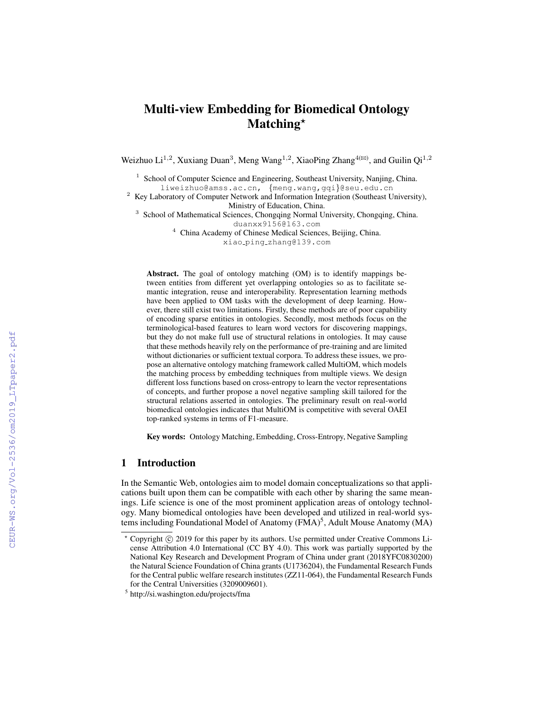# Multi-view Embedding for Biomedical Ontology Matching<sup>\*</sup>

Weizhuo Li<sup>1,2</sup>, Xuxiang Duan<sup>3</sup>, Meng Wang<sup>1,2</sup>, XiaoPing Zhang<sup>4( $\boxtimes$ )</sup>, and Guilin Qi<sup>1,2</sup>

<sup>1</sup> School of Computer Science and Engineering, Southeast University, Nanjing, China. liweizhuo@amss.ac.cn, {meng.wang,gqi}@seu.edu.cn

 $2$  Key Laboratory of Computer Network and Information Integration (Southeast University), Ministry of Education, China.

<sup>3</sup> School of Mathematical Sciences, Chongqing Normal University, Chongqing, China. duanxx9156@163.com

<sup>4</sup> China Academy of Chinese Medical Sciences, Beijing, China.

xiao ping zhang@139.com

Abstract. The goal of ontology matching (OM) is to identify mappings between entities from different yet overlapping ontologies so as to facilitate semantic integration, reuse and interoperability. Representation learning methods have been applied to OM tasks with the development of deep learning. However, there still exist two limitations. Firstly, these methods are of poor capability of encoding sparse entities in ontologies. Secondly, most methods focus on the terminological-based features to learn word vectors for discovering mappings, but they do not make full use of structural relations in ontologies. It may cause that these methods heavily rely on the performance of pre-training and are limited without dictionaries or sufficient textual corpora. To address these issues, we propose an alternative ontology matching framework called MultiOM, which models the matching process by embedding techniques from multiple views. We design different loss functions based on cross-entropy to learn the vector representations of concepts, and further propose a novel negative sampling skill tailored for the structural relations asserted in ontologies. The preliminary result on real-world biomedical ontologies indicates that MultiOM is competitive with several OAEI top-ranked systems in terms of F1-measure.

Key words: Ontology Matching, Embedding, Cross-Entropy, Negative Sampling

## 1 Introduction

In the Semantic Web, ontologies aim to model domain conceptualizations so that applications built upon them can be compatible with each other by sharing the same meanings. Life science is one of the most prominent application areas of ontology technology. Many biomedical ontologies have been developed and utilized in real-world systems including Foundational Model of Anatomy (FMA)<sup>5</sup>, Adult Mouse Anatomy (MA)

<sup>\*</sup> Copyright © 2019 for this paper by its authors. Use permitted under Creative Commons License Attribution 4.0 International (CC BY 4.0). This work was partially supported by the National Key Research and Development Program of China under grant (2018YFC0830200) the Natural Science Foundation of China grants (U1736204), the Fundamental Research Funds for the Central public welfare research institutes (ZZ11-064), the Fundamental Research Funds for the Central Universities (3209009601).

<sup>5</sup> http://si.washington.edu/projects/fma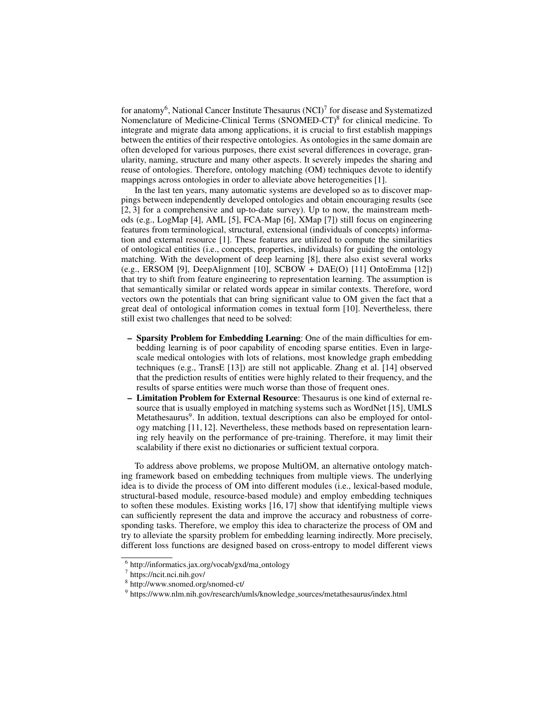for anatomy<sup>6</sup>, National Cancer Institute Thesaurus (NCI)<sup>7</sup> for disease and Systematized Nomenclature of Medicine-Clinical Terms (SNOMED-CT)<sup>8</sup> for clinical medicine. To integrate and migrate data among applications, it is crucial to first establish mappings between the entities of their respective ontologies. As ontologies in the same domain are often developed for various purposes, there exist several differences in coverage, granularity, naming, structure and many other aspects. It severely impedes the sharing and reuse of ontologies. Therefore, ontology matching (OM) techniques devote to identify mappings across ontologies in order to alleviate above heterogeneities [1].

In the last ten years, many automatic systems are developed so as to discover mappings between independently developed ontologies and obtain encouraging results (see [2, 3] for a comprehensive and up-to-date survey). Up to now, the mainstream methods (e.g., LogMap [4], AML [5], FCA-Map [6], XMap [7]) still focus on engineering features from terminological, structural, extensional (individuals of concepts) information and external resource [1]. These features are utilized to compute the similarities of ontological entities (i.e., concepts, properties, individuals) for guiding the ontology matching. With the development of deep learning [8], there also exist several works (e.g., ERSOM [9], DeepAlignment [10], SCBOW + DAE(O) [11] OntoEmma [12]) that try to shift from feature engineering to representation learning. The assumption is that semantically similar or related words appear in similar contexts. Therefore, word vectors own the potentials that can bring significant value to OM given the fact that a great deal of ontological information comes in textual form [10]. Nevertheless, there still exist two challenges that need to be solved:

- Sparsity Problem for Embedding Learning: One of the main difficulties for embedding learning is of poor capability of encoding sparse entities. Even in largescale medical ontologies with lots of relations, most knowledge graph embedding techniques (e.g., TransE [13]) are still not applicable. Zhang et al. [14] observed that the prediction results of entities were highly related to their frequency, and the results of sparse entities were much worse than those of frequent ones.
- Limitation Problem for External Resource: Thesaurus is one kind of external resource that is usually employed in matching systems such as WordNet [15], UMLS Metathesaurus<sup>9</sup>. In addition, textual descriptions can also be employed for ontology matching [11, 12]. Nevertheless, these methods based on representation learning rely heavily on the performance of pre-training. Therefore, it may limit their scalability if there exist no dictionaries or sufficient textual corpora.

To address above problems, we propose MultiOM, an alternative ontology matching framework based on embedding techniques from multiple views. The underlying idea is to divide the process of OM into different modules (i.e., lexical-based module, structural-based module, resource-based module) and employ embedding techniques to soften these modules. Existing works [16, 17] show that identifying multiple views can sufficiently represent the data and improve the accuracy and robustness of corresponding tasks. Therefore, we employ this idea to characterize the process of OM and try to alleviate the sparsity problem for embedding learning indirectly. More precisely, different loss functions are designed based on cross-entropy to model different views

<sup>&</sup>lt;sup>6</sup> http://informatics.jax.org/vocab/gxd/ma\_ontology

<sup>7</sup> https://ncit.nci.nih.gov/

<sup>8</sup> http://www.snomed.org/snomed-ct/

<sup>&</sup>lt;sup>9</sup> https://www.nlm.nih.gov/research/umls/knowledge\_sources/metathesaurus/index.html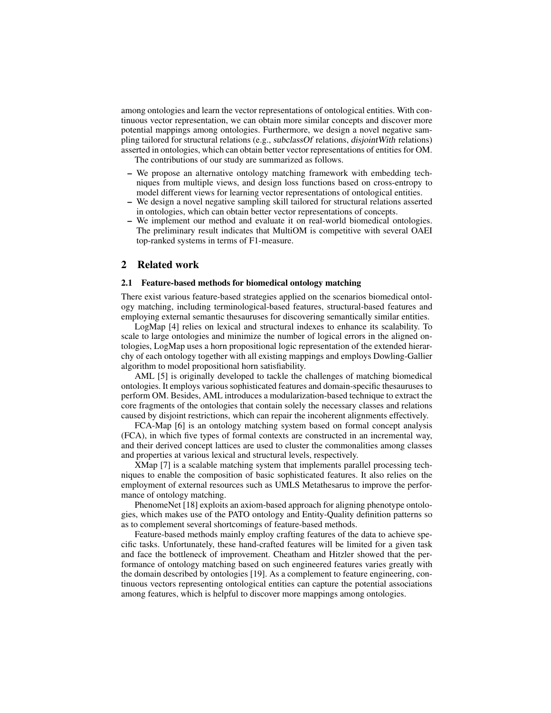among ontologies and learn the vector representations of ontological entities. With continuous vector representation, we can obtain more similar concepts and discover more potential mappings among ontologies. Furthermore, we design a novel negative sampling tailored for structural relations (e.g., subclassOf relations, disjointWith relations) asserted in ontologies, which can obtain better vector representations of entities for OM.

The contributions of our study are summarized as follows.

- We propose an alternative ontology matching framework with embedding techniques from multiple views, and design loss functions based on cross-entropy to model different views for learning vector representations of ontological entities.
- We design a novel negative sampling skill tailored for structural relations asserted in ontologies, which can obtain better vector representations of concepts.
- We implement our method and evaluate it on real-world biomedical ontologies. The preliminary result indicates that MultiOM is competitive with several OAEI top-ranked systems in terms of F1-measure.

#### 2 Related work

#### 2.1 Feature-based methods for biomedical ontology matching

There exist various feature-based strategies applied on the scenarios biomedical ontology matching, including terminological-based features, structural-based features and employing external semantic thesauruses for discovering semantically similar entities.

LogMap [4] relies on lexical and structural indexes to enhance its scalability. To scale to large ontologies and minimize the number of logical errors in the aligned ontologies, LogMap uses a horn propositional logic representation of the extended hierarchy of each ontology together with all existing mappings and employs Dowling-Gallier algorithm to model propositional horn satisfiability.

AML [5] is originally developed to tackle the challenges of matching biomedical ontologies. It employs various sophisticated features and domain-specific thesauruses to perform OM. Besides, AML introduces a modularization-based technique to extract the core fragments of the ontologies that contain solely the necessary classes and relations caused by disjoint restrictions, which can repair the incoherent alignments effectively.

FCA-Map [6] is an ontology matching system based on formal concept analysis (FCA), in which five types of formal contexts are constructed in an incremental way, and their derived concept lattices are used to cluster the commonalities among classes and properties at various lexical and structural levels, respectively.

XMap [7] is a scalable matching system that implements parallel processing techniques to enable the composition of basic sophisticated features. It also relies on the employment of external resources such as UMLS Metathesarus to improve the performance of ontology matching.

PhenomeNet [18] exploits an axiom-based approach for aligning phenotype ontologies, which makes use of the PATO ontology and Entity-Quality definition patterns so as to complement several shortcomings of feature-based methods.

Feature-based methods mainly employ crafting features of the data to achieve specific tasks. Unfortunately, these hand-crafted features will be limited for a given task and face the bottleneck of improvement. Cheatham and Hitzler showed that the performance of ontology matching based on such engineered features varies greatly with the domain described by ontologies [19]. As a complement to feature engineering, continuous vectors representing ontological entities can capture the potential associations among features, which is helpful to discover more mappings among ontologies.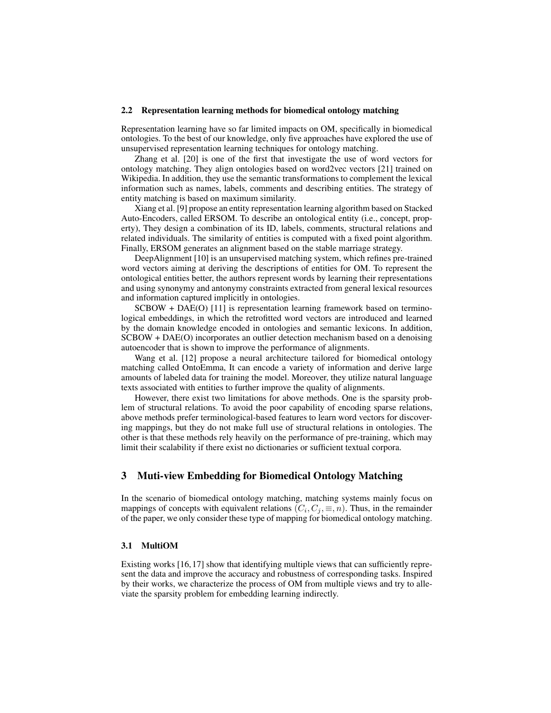#### 2.2 Representation learning methods for biomedical ontology matching

Representation learning have so far limited impacts on OM, specifically in biomedical ontologies. To the best of our knowledge, only five approaches have explored the use of unsupervised representation learning techniques for ontology matching.

Zhang et al. [20] is one of the first that investigate the use of word vectors for ontology matching. They align ontologies based on word2vec vectors [21] trained on Wikipedia. In addition, they use the semantic transformations to complement the lexical information such as names, labels, comments and describing entities. The strategy of entity matching is based on maximum similarity.

Xiang et al. [9] propose an entity representation learning algorithm based on Stacked Auto-Encoders, called ERSOM. To describe an ontological entity (i.e., concept, property), They design a combination of its ID, labels, comments, structural relations and related individuals. The similarity of entities is computed with a fixed point algorithm. Finally, ERSOM generates an alignment based on the stable marriage strategy.

DeepAlignment [10] is an unsupervised matching system, which refines pre-trained word vectors aiming at deriving the descriptions of entities for OM. To represent the ontological entities better, the authors represent words by learning their representations and using synonymy and antonymy constraints extracted from general lexical resources and information captured implicitly in ontologies.

SCBOW + DAE(O) [11] is representation learning framework based on terminological embeddings, in which the retrofitted word vectors are introduced and learned by the domain knowledge encoded in ontologies and semantic lexicons. In addition, SCBOW + DAE(O) incorporates an outlier detection mechanism based on a denoising autoencoder that is shown to improve the performance of alignments.

Wang et al. [12] propose a neural architecture tailored for biomedical ontology matching called OntoEmma, It can encode a variety of information and derive large amounts of labeled data for training the model. Moreover, they utilize natural language texts associated with entities to further improve the quality of alignments.

However, there exist two limitations for above methods. One is the sparsity problem of structural relations. To avoid the poor capability of encoding sparse relations, above methods prefer terminological-based features to learn word vectors for discovering mappings, but they do not make full use of structural relations in ontologies. The other is that these methods rely heavily on the performance of pre-training, which may limit their scalability if there exist no dictionaries or sufficient textual corpora.

## 3 Muti-view Embedding for Biomedical Ontology Matching

In the scenario of biomedical ontology matching, matching systems mainly focus on mappings of concepts with equivalent relations  $(C_i, C_j, \equiv, n)$ . Thus, in the remainder of the paper, we only consider these type of mapping for biomedical ontology matching.

#### 3.1 MultiOM

Existing works [16, 17] show that identifying multiple views that can sufficiently represent the data and improve the accuracy and robustness of corresponding tasks. Inspired by their works, we characterize the process of OM from multiple views and try to alleviate the sparsity problem for embedding learning indirectly.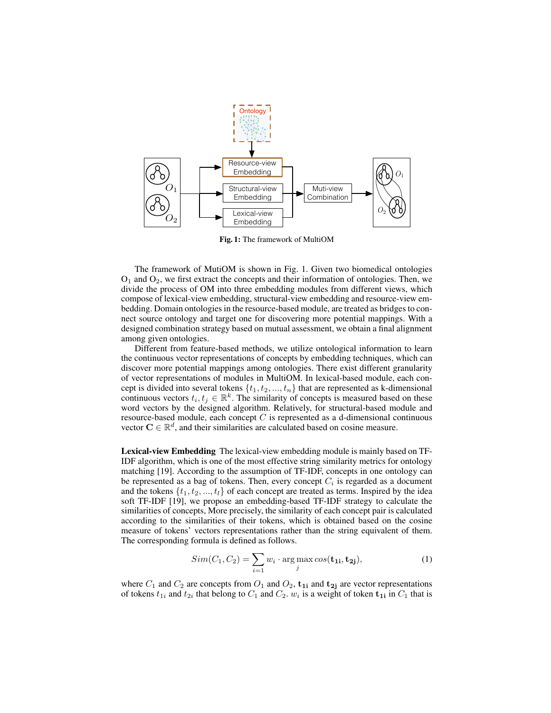

Fig. 1: The framework of MultiOM

The framework of MutiOM is shown in Fig. 1. Given two biomedical ontologies  $O_1$  and  $O_2$ , we first extract the concepts and their information of ontologies. Then, we divide the process of OM into three embedding modules from different views, which compose of lexical-view embedding, structural-view embedding and resource-view embedding. Domain ontologies in the resource-based module, are treated as bridges to connect source ontology and target one for discovering more potential mappings. With a designed combination strategy based on mutual assessment, we obtain a final alignment among given ontologies.

Different from feature-based methods, we utilize ontological information to learn the continuous vector representations of concepts by embedding techniques, which can discover more potential mappings among ontologies. There exist different granularity of vector representations of modules in MultiOM. In lexical-based module, each concept is divided into several tokens  $\{t_1, t_2, ..., t_n\}$  that are represented as k-dimensional continuous vectors  $t_i, t_j \in \mathbb{R}^k$ . The similarity of concepts is measured based on these word vectors by the designed algorithm. Relatively, for structural-based module and resource-based module, each concept  $C$  is represented as a d-dimensional continuous vector  $\mathbf{C} \in \mathbb{R}^d$ , and their similarities are calculated based on cosine measure.

Lexical-view Embedding The lexical-view embedding module is mainly based on TF-IDF algorithm, which is one of the most effective string similarity metrics for ontology matching [19]. According to the assumption of TF-IDF, concepts in one ontology can be represented as a bag of tokens. Then, every concept  $C_i$  is regarded as a document and the tokens  $\{t_1, t_2, ..., t_l\}$  of each concept are treated as terms. Inspired by the idea soft TF-IDF [19], we propose an embedding-based TF-IDF strategy to calculate the similarities of concepts, More precisely, the similarity of each concept pair is calculated according to the similarities of their tokens, which is obtained based on the cosine measure of tokens' vectors representations rather than the string equivalent of them. The corresponding formula is defined as follows.

$$
Sim(C_1, C_2) = \sum_{i=1} w_i \cdot \arg\max_j \cos(\mathbf{t_{1i}}, \mathbf{t_{2j}}),
$$
 (1)

where  $C_1$  and  $C_2$  are concepts from  $O_1$  and  $O_2$ ,  $\mathbf{t}_{1i}$  and  $\mathbf{t}_{2j}$  are vector representations of tokens  $t_{1i}$  and  $t_{2i}$  that belong to  $C_1$  and  $C_2$ .  $w_i$  is a weight of token  $\mathbf{t_{1i}}$  in  $C_1$  that is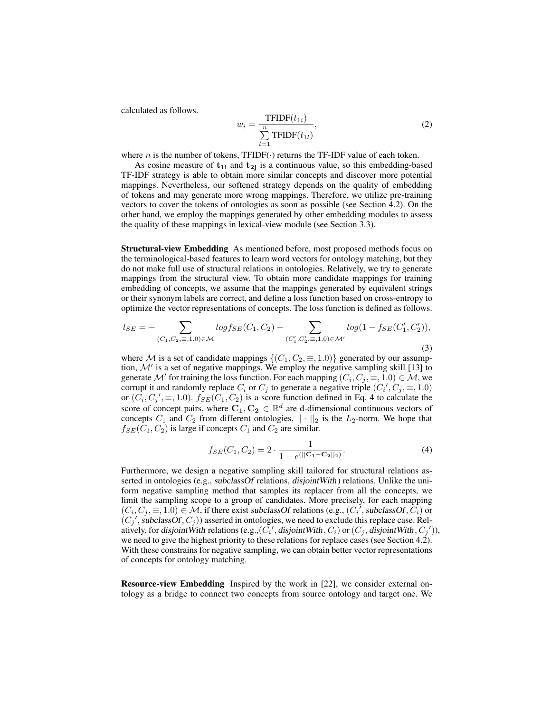calculated as follows.

$$
w_i = \frac{\text{TFIDF}(t_{1i})}{\sum_{l=1}^{n} \text{TFIDF}(t_{1l})},\tag{2}
$$

where *n* is the number of tokens, TFIDF( $\cdot$ ) returns the TF-IDF value of each token.

As cosine measure of  $t_{1i}$  and  $t_{2i}$  is a continuous value, so this embedding-based TF-IDF strategy is able to obtain more similar concepts and discover more potential mappings. Nevertheless, our softened strategy depends on the quality of embedding of tokens and may generate more wrong mappings. Therefore, we utilize pre-training vectors to cover the tokens of ontologies as soon as possible (see Section 4.2). On the other hand, we employ the mappings generated by other embedding modules to assess the quality of these mappings in lexical-view module (see Section 3.3).

Structural-view Embedding As mentioned before, most proposed methods focus on the terminological-based features to learn word vectors for ontology matching, but they do not make full use of structural relations in ontologies. Relatively, we try to generate mappings from the structural view. To obtain more candidate mappings for training embedding of concepts, we assume that the mappings generated by equivalent strings or their synonym labels are correct, and define a loss function based on cross-entropy to optimize the vector representations of concepts. The loss function is defined as follows.

$$
l_{SE} = -\sum_{(C_1, C_2, \equiv, 1, 0) \in \mathcal{M}} log f_{SE}(C_1, C_2) - \sum_{(C'_1, C'_2, \equiv, 1, 0) \in \mathcal{M}'} log(1 - f_{SE}(C'_1, C'_2)),
$$
\n(3)

where M is a set of candidate mappings  $\{(C_1, C_2, \equiv 1.0)\}\$  generated by our assumption,  $\mathcal{M}'$  is a set of negative mappings. We employ the negative sampling skill [13] to generate  $\mathcal M'$  for training the loss function. For each mapping  $(C_i, C_j, \equiv, 1.0) \in \mathcal M$ , we corrupt it and randomly replace  $C_i$  or  $C_j$  to generate a negative triple  $(C_i', C_j, \equiv, 1.0)$ or  $(\tilde{C}_i, C_j', \equiv, 1.0)$ .  $f_{SE}(\tilde{C}_1, C_2)$  is a score function defined in Eq. 4 to calculate the score of concept pairs, where  $C_1, C_2 \in \mathbb{R}^d$  are d-dimensional continuous vectors of concepts  $C_1$  and  $C_2$  from different ontologies,  $|| \cdot ||_2$  is the  $L_2$ -norm. We hope that  $f_{SE}(C_1, C_2)$  is large if concepts  $C_1$  and  $C_2$  are similar.

$$
f_{SE}(C_1, C_2) = 2 \cdot \frac{1}{1 + e(||\mathbf{C}_1 - \mathbf{C}_2||_2)}.
$$
 (4)

Furthermore, we design a negative sampling skill tailored for structural relations asserted in ontologies (e.g., subclassOf relations, disjointWith) relations. Unlike the uniform negative sampling method that samples its replacer from all the concepts, we limit the sampling scope to a group of candidates. More precisely, for each mapping  $(C_i, C_j, \equiv, 1.0) \in \mathcal{M}$ , if there exist subclassOf relations (e.g.,  $(C_i',$  subclassOf,  $\hat{C_i}$ ) or  $(C_j',$  subclassOf,  $C_j$ )) asserted in ontologies, we need to exclude this replace case. Relatively, for disjoint With relations (e.g.,  $(\tilde{C_i}',$  disjoint With,  $C_i$ ) or  $(C_j,$  disjoint With,  $C_j'$ )), we need to give the highest priority to these relations for replace cases (see Section 4.2). With these constrains for negative sampling, we can obtain better vector representations of concepts for ontology matching.

Resource-view Embedding Inspired by the work in [22], we consider external ontology as a bridge to connect two concepts from source ontology and target one. We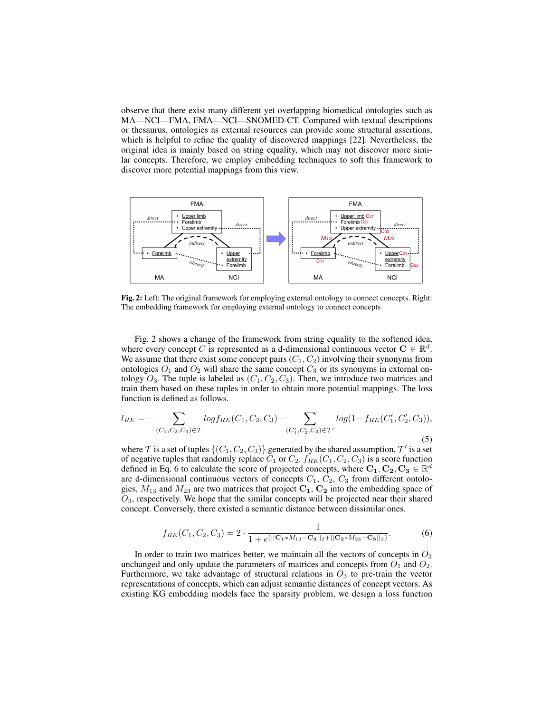observe that there exist many different yet overlapping biomedical ontologies such as MA—NCI—FMA, FMA—NCI—SNOMED-CT. Compared with textual descriptions or thesaurus, ontologies as external resources can provide some structural assertions, which is helpful to refine the quality of discovered mappings [22]. Nevertheless, the original idea is mainly based on string equality, which may not discover more similar concepts. Therefore, we employ embedding techniques to soft this framework to discover more potential mappings from this view.



Fig. 2: Left: The original framework for employing external ontology to connect concepts. Right: The embedding framework for employing external ontology to connect concepts

Fig. 2 shows a change of the framework from string equality to the softened idea, where every concept C is represented as a d-dimensional continuous vector  $C \in \mathbb{R}^d$ . We assume that there exist some concept pairs  $(C_1, C_2)$  involving their synonyms from ontologies  $O_1$  and  $O_2$  will share the same concept  $C_3$  or its synonyms in external ontology  $O_3$ . The tuple is labeled as  $(C_1, C_2, C_3)$ . Then, we introduce two matrices and train them based on these tuples in order to obtain more potential mappings. The loss function is defined as follows.

$$
l_{RE} = -\sum_{(C_1, C_2, C_3) \in \mathcal{T}} log f_{RE}(C_1, C_2, C_3) - \sum_{(C'_1, C'_2, C_3) \in \mathcal{T}'} log(1 - f_{RE}(C'_1, C'_2, C_3)),
$$
\n(5)

where  $\mathcal T$  is a set of tuples  $\{(C_1,C_2,C_3)\}$  generated by the shared assumption,  $\mathcal T'$  is a set of negative tuples that randomly replace  $C_1$  or  $C_2$ .  $f_{RE}(C_1, C_2, C_3)$  is a score function defined in Eq. 6 to calculate the score of projected concepts, where  $C_1, C_2, C_3 \in \mathbb{R}^d$ are d-dimensional continuous vectors of concepts  $C_1$ ,  $C_2$ ,  $C_3$  from different ontologies,  $M_{13}$  and  $M_{23}$  are two matrices that project  $C_1$ ,  $C_2$  into the embedding space of  $O_3$ , respectively. We hope that the similar concepts will be projected near their shared concept. Conversely, there existed a semantic distance between dissimilar ones.

$$
f_{RE}(C_1, C_2, C_3) = 2 \cdot \frac{1}{1 + e^{(||\mathbf{C}_{1} * M_{13} - \mathbf{C}_{3}||_2 + ||\mathbf{C}_{2} * M_{23} - \mathbf{C}_{3}||_2)}}.
$$
(6)

In order to train two matrices better, we maintain all the vectors of concepts in  $O_3$ unchanged and only update the parameters of matrices and concepts from  $O_1$  and  $O_2$ . Furthermore, we take advantage of structural relations in  $O_3$  to pre-train the vector representations of concepts, which can adjust semantic distances of concept vectors. As existing KG embedding models face the sparsity problem, we design a loss function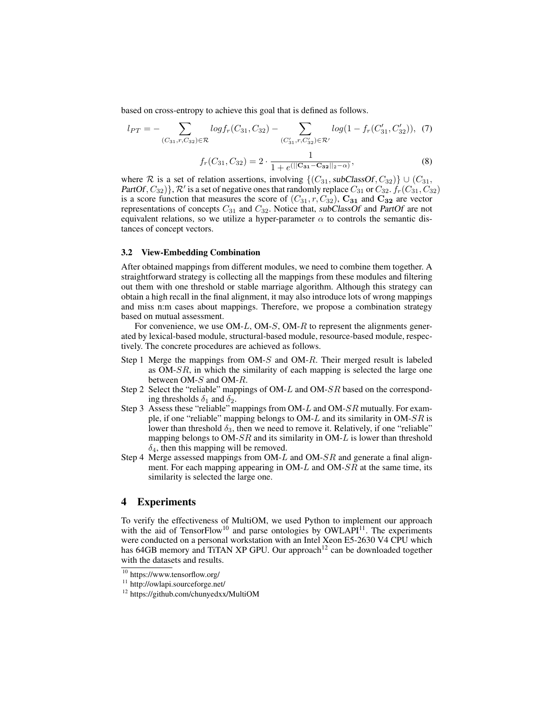based on cross-entropy to achieve this goal that is defined as follows.

$$
l_{PT} = -\sum_{(C_{31}, r, C_{32}) \in \mathcal{R}} log f_r(C_{31}, C_{32}) - \sum_{(C'_{31}, r, C'_{32}) \in \mathcal{R}'} log(1 - f_r(C'_{31}, C'_{32})), (7)
$$
  

$$
f_r(C_{31}, C_{32}) = 2 \cdot \frac{1}{1 + e(||C_{31} - C_{32}||_2 - \alpha)},
$$
 (8)

where R is a set of relation assertions, involving  $\{(C_{31},\text{subClassOf}, C_{32})\} \cup (C_{31},$ PartOf,  $C_{32}$ ),  $\mathcal{R}'$  is a set of negative ones that randomly replace  $C_{31}$  or  $C_{32}$ .  $f_r(C_{31}, C_{32})$ is a score function that measures the score of  $(C_{31}, r, C_{32})$ ,  $\mathbf{C_{31}}$  and  $\mathbf{C_{32}}$  are vector representations of concepts  $C_{31}$  and  $C_{32}$ . Notice that, subClassOf and PartOf are not equivalent relations, so we utilize a hyper-parameter  $\alpha$  to controls the semantic distances of concept vectors.

#### 3.2 View-Embedding Combination

After obtained mappings from different modules, we need to combine them together. A straightforward strategy is collecting all the mappings from these modules and filtering out them with one threshold or stable marriage algorithm. Although this strategy can obtain a high recall in the final alignment, it may also introduce lots of wrong mappings and miss n:m cases about mappings. Therefore, we propose a combination strategy based on mutual assessment.

For convenience, we use OM-L, OM-S, OM-R to represent the alignments generated by lexical-based module, structural-based module, resource-based module, respectively. The concrete procedures are achieved as follows.

- Step 1 Merge the mappings from OM-S and OM-R. Their merged result is labeled as OM-SR, in which the similarity of each mapping is selected the large one between OM-S and OM-R.
- Step 2 Select the "reliable" mappings of OM-L and OM-SR based on the corresponding thresholds  $\delta_1$  and  $\delta_2$ .
- Step 3 Assess these "reliable" mappings from OM-L and OM-SR mutually. For example, if one "reliable" mapping belongs to OM-L and its similarity in OM-SR is lower than threshold  $\delta_3$ , then we need to remove it. Relatively, if one "reliable" mapping belongs to  $OM-SR$  and its similarity in  $OM-L$  is lower than threshold  $\delta_4$ , then this mapping will be removed.
- Step 4 Merge assessed mappings from OM-L and OM-SR and generate a final alignment. For each mapping appearing in  $OM-L$  and  $OM-SR$  at the same time, its similarity is selected the large one.

# 4 Experiments

To verify the effectiveness of MultiOM, we used Python to implement our approach with the aid of TensorFlow<sup>10</sup> and parse ontologies by OWLAPI<sup>11</sup>. The experiments were conducted on a personal workstation with an Intel Xeon E5-2630 V4 CPU which has  $64GB$  memory and TiTAN XP GPU. Our approach<sup>12</sup> can be downloaded together with the datasets and results.

<sup>10</sup> https://www.tensorflow.org/

<sup>11</sup> http://owlapi.sourceforge.net/

<sup>12</sup> https://github.com/chunyedxx/MultiOM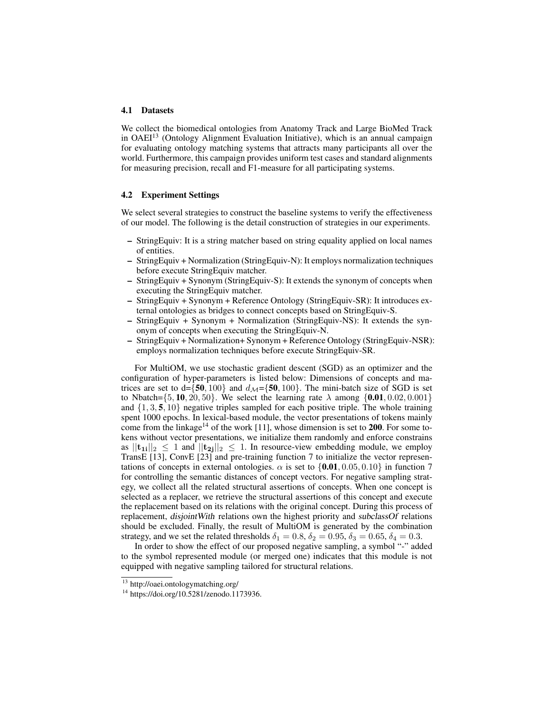#### 4.1 Datasets

We collect the biomedical ontologies from Anatomy Track and Large BioMed Track in  $OAEI<sup>13</sup>$  (Ontology Alignment Evaluation Initiative), which is an annual campaign for evaluating ontology matching systems that attracts many participants all over the world. Furthermore, this campaign provides uniform test cases and standard alignments for measuring precision, recall and F1-measure for all participating systems.

#### 4.2 Experiment Settings

We select several strategies to construct the baseline systems to verify the effectiveness of our model. The following is the detail construction of strategies in our experiments.

- StringEquiv: It is a string matcher based on string equality applied on local names of entities.
- StringEquiv + Normalization (StringEquiv-N): It employs normalization techniques before execute StringEquiv matcher.
- StringEquiv + Synonym (StringEquiv-S): It extends the synonym of concepts when executing the StringEquiv matcher.
- StringEquiv + Synonym + Reference Ontology (StringEquiv-SR): It introduces external ontologies as bridges to connect concepts based on StringEquiv-S.
- StringEquiv + Synonym + Normalization (StringEquiv-NS): It extends the synonym of concepts when executing the StringEquiv-N.
- StringEquiv + Normalization+ Synonym + Reference Ontology (StringEquiv-NSR): employs normalization techniques before execute StringEquiv-SR.

For MultiOM, we use stochastic gradient descent (SGD) as an optimizer and the configuration of hyper-parameters is listed below: Dimensions of concepts and matrices are set to  $d = \{50, 100\}$  and  $d_{\mathcal{M}} = \{50, 100\}$ . The mini-batch size of SGD is set to Nbatch={5, 10, 20, 50}. We select the learning rate  $\lambda$  among {0.01, 0.02, 0.001} and  $\{1, 3, 5, 10\}$  negative triples sampled for each positive triple. The whole training spent 1000 epochs. In lexical-based module, the vector presentations of tokens mainly come from the linkage<sup>14</sup> of the work [11], whose dimension is set to 200. For some tokens without vector presentations, we initialize them randomly and enforce constrains as  $||{\bf t}_{1i}||_2 \le 1$  and  $||{\bf t}_{2j}||_2 \le 1$ . In resource-view embedding module, we employ TransE [13], ConvE [23] and pre-training function 7 to initialize the vector representations of concepts in external ontologies.  $\alpha$  is set to  $\{0.01, 0.05, 0.10\}$  in function 7 for controlling the semantic distances of concept vectors. For negative sampling strategy, we collect all the related structural assertions of concepts. When one concept is selected as a replacer, we retrieve the structural assertions of this concept and execute the replacement based on its relations with the original concept. During this process of replacement, disjointWith relations own the highest priority and subclassOf relations should be excluded. Finally, the result of MultiOM is generated by the combination strategy, and we set the related thresholds  $\delta_1 = 0.8$ ,  $\delta_2 = 0.95$ ,  $\delta_3 = 0.65$ ,  $\delta_4 = 0.3$ .

In order to show the effect of our proposed negative sampling, a symbol "-" added to the symbol represented module (or merged one) indicates that this module is not equipped with negative sampling tailored for structural relations.

 $13$  http://oaei.ontologymatching.org/

<sup>14</sup> https://doi.org/10.5281/zenodo.1173936.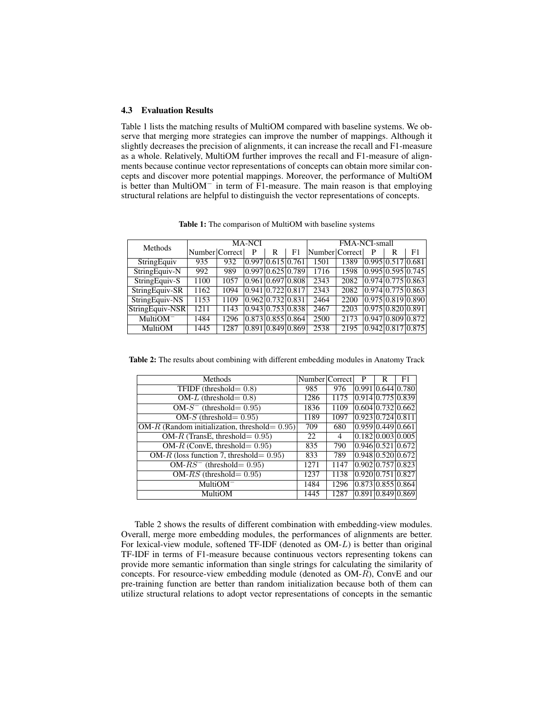#### 4.3 Evaluation Results

Table 1 lists the matching results of MultiOM compared with baseline systems. We observe that merging more strategies can improve the number of mappings. Although it slightly decreases the precision of alignments, it can increase the recall and F1-measure as a whole. Relatively, MultiOM further improves the recall and F1-measure of alignments because continue vector representations of concepts can obtain more similar concepts and discover more potential mappings. Moreover, the performance of MultiOM is better than MultiOM<sup>−</sup> in term of F1-measure. The main reason is that employing structural relations are helpful to distinguish the vector representations of concepts.

Table 1: The comparison of MultiOM with baseline systems

| Methods         | <b>MA-NCI</b>  |      |   |                               |    | <b>FMA-NCI-small</b> |      |   |                   |                                    |  |
|-----------------|----------------|------|---|-------------------------------|----|----------------------|------|---|-------------------|------------------------------------|--|
|                 | Number Correct |      | P | R                             | F1 | Number Correct       |      | P | R                 | F1                                 |  |
| StringEquiv     | 935            | 932  |   | 0.997 0.615 0.761             |    | 1501                 | 1389 |   | 0.995 0.517 0.681 |                                    |  |
| StringEquiv-N   | 992            | 989  |   | 0.997 0.625 0.789             |    | 1716                 | 1598 |   |                   | 0.995 0.595 0.745                  |  |
| StringEquiv-S   | 1100           | 1057 |   | $0.961$ $0.697$ $0.808$       |    | 2343                 | 2082 |   |                   | 0.974 0.775 0.863                  |  |
| StringEquiv-SR  | 1162           | 1094 |   | $0.941$ $0.722$ $0.817$       |    | 2343                 | 2082 |   |                   | 0.974 0.775 0.863                  |  |
| StringEquiv-NS  | 1153           | 1109 |   | 0.96210.73210.831             |    | 2464                 | 2200 |   |                   | $0.975 \mid 0.819 \mid 0.890 \mid$ |  |
| StringEquiv-NSR | 1211           | 1143 |   | 0.943 0.753 0.838             |    | 2467                 | 2203 |   | 0.975 0.820 0.891 |                                    |  |
| $MultiOM^-$     | 1484           | 1296 |   | $0.873 \mid 0.855 \mid 0.864$ |    | 2500                 | 2173 |   |                   | 0.94710.80910.872                  |  |
| MultiOM         | 1445           | 1287 |   | 0.891 0.849 0.869             |    | 2538                 | 2195 |   |                   | $0.942 \mid 0.817 \mid 0.875$      |  |

Table 2: The results about combining with different embedding modules in Anatomy Track

| Methods                                           | Number Correct |      | P | R                             | F1 |
|---------------------------------------------------|----------------|------|---|-------------------------------|----|
| TFIDF (threshold $= 0.8$ )                        | 985            | 976  |   | 0.991 0.644 0.780             |    |
| OM-L (threshold = $0.8$ )                         | 1286           | 1175 |   | 0.914 0.775 0.839             |    |
| $OM-S^-$ (threshold = 0.95)                       | 1836           | 1109 |   | $0.604 \times 732 \times 662$ |    |
| OM-S (threshold = $0.95$ )                        | 1189           | 1097 |   | $0.923 \mid 0.724 \mid 0.811$ |    |
| OM-R (Random initialization, threshold = $0.95$ ) | 709            | 680  |   | $0.959 \mid 0.449 \mid 0.661$ |    |
| OM- $R$ (TransE, threshold= 0.95)                 | 22             | 4    |   | 0.182 0.003 0.005             |    |
| OM-R (ConvE, threshold = $0.95$ )                 | 835            | 790  |   | $0.946 \mid 0.521 \mid 0.672$ |    |
| OM-R (loss function 7, threshold= $0.95$ )        | 833            | 789  |   | $0.948 \mid 0.520 \mid 0.672$ |    |
| $OM-RS^{-}$ (threshold= 0.95)                     | 1271           | 1147 |   | $0.902 \times 757 \times 823$ |    |
| OM- $RS$ (threshold= 0.95)                        | 1237           | 1138 |   | $0.920 \mid 0.751 \mid 0.827$ |    |
| $MultiOM^-$                                       | 1484           | 1296 |   | 0.873 0.855 0.864             |    |
| MultiOM                                           | 1445           | 1287 |   | 0.891 0.849 0.869             |    |

Table 2 shows the results of different combination with embedding-view modules. Overall, merge more embedding modules, the performances of alignments are better. For lexical-view module, softened TF-IDF (denoted as OM-L) is better than original TF-IDF in terms of F1-measure because continuous vectors representing tokens can provide more semantic information than single strings for calculating the similarity of concepts. For resource-view embedding module (denoted as OM-R), ConvE and our pre-training function are better than random initialization because both of them can utilize structural relations to adopt vector representations of concepts in the semantic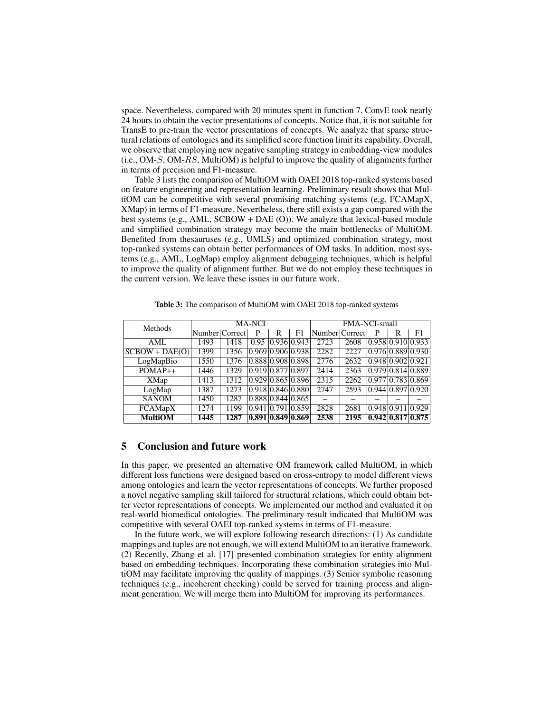space. Nevertheless, compared with 20 minutes spent in function 7, ConvE took nearly 24 hours to obtain the vector presentations of concepts. Notice that, it is not suitable for TransE to pre-train the vector presentations of concepts. We analyze that sparse structural relations of ontologies and its simplified score function limit its capability. Overall, we observe that employing new negative sampling strategy in embedding-view modules  $(i.e., OM-S, OM-RS, MultiOM)$  is helpful to improve the quality of alignments further in terms of precision and F1-measure.

Table 3 lists the comparison of MultiOM with OAEI 2018 top-ranked systems based on feature engineering and representation learning. Preliminary result shows that MultiOM can be competitive with several promising matching systems (e,g, FCAMapX, XMap) in terms of F1-measure. Nevertheless, there still exists a gap compared with the best systems (e.g., AML, SCBOW + DAE (O)). We analyze that lexical-based module and simplified combination strategy may become the main bottlenecks of MultiOM. Benefited from thesauruses (e.g., UMLS) and optimized combination strategy, most top-ranked systems can obtain better performances of OM tasks. In addition, most systems (e.g., AML, LogMap) employ alignment debugging techniques, which is helpful to improve the quality of alignment further. But we do not employ these techniques in the current version. We leave these issues in our future work.

| Methods          | <b>MA-NCI</b>  |      |                                             |             | <b>FMA-NCI-small</b> |                |      |   |                                    |                       |
|------------------|----------------|------|---------------------------------------------|-------------|----------------------|----------------|------|---|------------------------------------|-----------------------|
|                  | Number Correct |      | P                                           | R           | F1                   | Number Correct |      | P | R                                  | F1                    |
| AML              | 1493           | 1418 | 0.95                                        | 0.936 0.943 |                      | 2723           | 2608 |   |                                    | 0.958 0.910 0.933     |
| $SCBOW + DAE(O)$ | 1399           | 1356 | 0.969 0.906 0.938                           |             |                      | 2282           | 2227 |   |                                    | [0.976] 0.889] 0.930] |
| LogMapBio        | 1550           | 1376 | $0.888$ 0.908 0.898                         |             |                      | 2776           | 2632 |   | $0.948 \mid 0.902 \mid 0.921$      |                       |
| $POMAP++$        | 1446           | 1329 | 0.919 0.877 0.897                           |             |                      | 2414           | 2363 |   | $0.979 \mid 0.814 \mid 0.889 \mid$ |                       |
| XMap             | 1413           | 1312 | 0.929 0.865 0.896                           |             |                      | 2315           | 2262 |   | $0.977 \mid 0.783 \mid 0.869$      |                       |
| LogMap           | 1387           | 1273 | 0.918 0.846 0.880                           |             |                      | 2747           | 2593 |   | 0.944 0.897 0.920                  |                       |
| <b>SANOM</b>     | 1450           | 1287 | 0.88810.84410.865                           |             |                      |                |      |   |                                    |                       |
| <b>FCAMapX</b>   | 1274           | 1199 | 0.941 0.791 0.859                           |             |                      | 2828           | 2681 |   | $0.948 \mid 0.911 \mid 0.929$      |                       |
| <b>MultiOM</b>   | 1445           | 1287 | $\vert 0.891 \vert 0.849 \vert 0.869 \vert$ |             |                      | 2538           | 2195 |   |                                    | 0.942 0.817 0.875     |

Table 3: The comparison of MultiOM with OAEI 2018 top-ranked systems

#### 5 Conclusion and future work

In this paper, we presented an alternative OM framework called MultiOM, in which different loss functions were designed based on cross-entropy to model different views among ontologies and learn the vector representations of concepts. We further proposed a novel negative sampling skill tailored for structural relations, which could obtain better vector representations of concepts. We implemented our method and evaluated it on real-world biomedical ontologies. The preliminary result indicated that MultiOM was competitive with several OAEI top-ranked systems in terms of F1-measure.

In the future work, we will explore following research directions: (1) As candidate mappings and tuples are not enough, we will extend MultiOM to an iterative framework. (2) Recently, Zhang et al. [17] presented combination strategies for entity alignment based on embedding techniques. Incorporating these combination strategies into MultiOM may facilitate improving the quality of mappings. (3) Senior symbolic reasoning techniques (e.g., incoherent checking) could be served for training process and alignment generation. We will merge them into MultiOM for improving its performances.